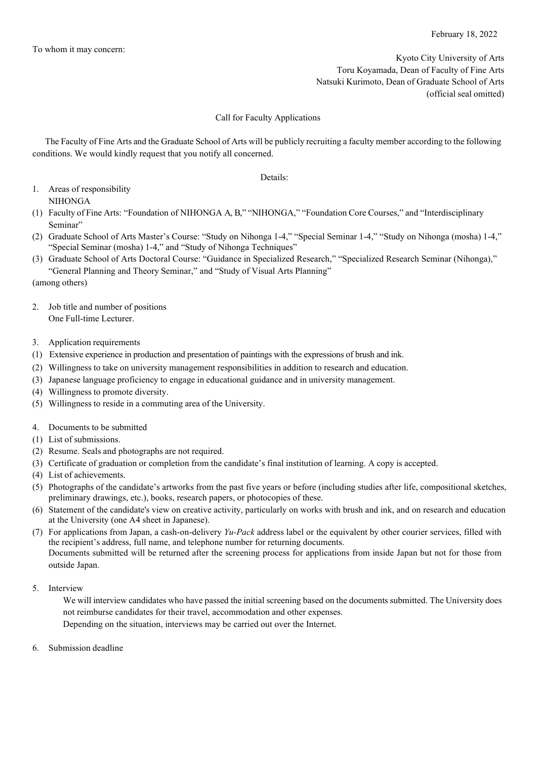Kyoto City University of Arts Toru Koyamada, Dean of Faculty of Fine Arts Natsuki Kurimoto, Dean of Graduate School of Arts (official seal omitted)

## Call for Faculty Applications

The Faculty of Fine Arts and the Graduate School of Arts will be publicly recruiting a faculty member according to the following conditions. We would kindly request that you notify all concerned.

Details:

- 1. Areas of responsibility NIHONGA
- (1) Faculty of Fine Arts: "Foundation of NIHONGA A, B," "NIHONGA," "Foundation Core Courses," and "Interdisciplinary Seminar"
- (2) Graduate School of Arts Master's Course: "Study on Nihonga 1-4," "Special Seminar 1-4," "Study on Nihonga (mosha) 1-4," "Special Seminar (mosha) 1-4," and "Study of Nihonga Techniques"
- (3) Graduate School of Arts Doctoral Course: "Guidance in Specialized Research," "Specialized Research Seminar (Nihonga)," "General Planning and Theory Seminar," and "Study of Visual Arts Planning"

(among others)

- 2. Job title and number of positions One Full-time Lecturer.
- 3. Application requirements
- (1) Extensive experience in production and presentation of paintings with the expressions of brush and ink.
- (2) Willingness to take on university management responsibilities in addition to research and education.
- (3) Japanese language proficiency to engage in educational guidance and in university management.
- (4) Willingness to promote diversity.
- (5) Willingness to reside in a commuting area of the University.
- 4. Documents to be submitted
- (1) List of submissions.
- (2) Resume. Seals and photographs are not required.
- (3) Certificate of graduation or completion from the candidate's final institution of learning. A copy is accepted.
- (4) List of achievements.
- (5) Photographs of the candidate's artworks from the past five years or before (including studies after life, compositional sketches, preliminary drawings, etc.), books, research papers, or photocopies of these.
- (6) Statement of the candidate's view on creative activity, particularly on works with brush and ink, and on research and education at the University (one A4 sheet in Japanese).
- (7) For applications from Japan, a cash-on-delivery *Yu-Pack* address label or the equivalent by other courier services, filled with the recipient's address, full name, and telephone number for returning documents. Documents submitted will be returned after the screening process for applications from inside Japan but not for those from outside Japan.
- 5. Interview

We will interview candidates who have passed the initial screening based on the documents submitted. The University does not reimburse candidates for their travel, accommodation and other expenses.

Depending on the situation, interviews may be carried out over the Internet.

6. Submission deadline